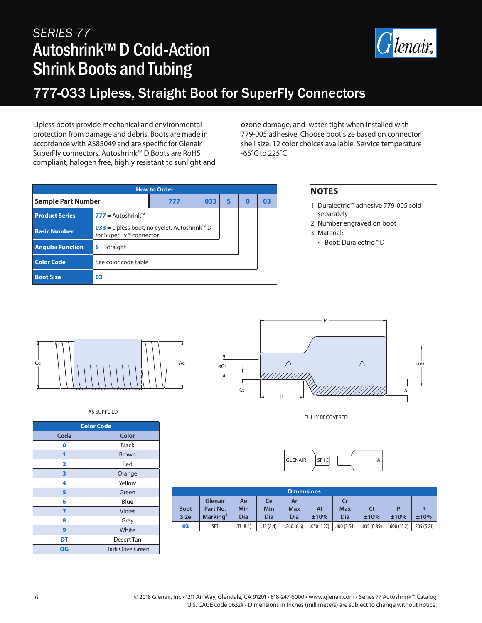# *SERIES 77* Autoshrink™ D Cold-Action Shrink Boots and Tubing



### 777-033 Lipless, Straight Boot for SuperFly Connectors

Lipless boots provide mechanical and environmental protection from damage and debris. Boots are made in accordance with AS85049 and are specific for Glenair SuperFly connectors. Autoshrink™ D Boots are RoHS compliant, halogen free, highly resistant to sunlight and ozone damage, and water-tight when installed with 779-005 adhesive. Choose boot size based on connector shell size. 12 color choices available. Service temperature -65°C to 225°C

| <b>How to Order</b>     |                                                                                     |     |        |   |   |    |  |
|-------------------------|-------------------------------------------------------------------------------------|-----|--------|---|---|----|--|
| Sample Part Number      |                                                                                     | 777 | $-033$ | S | Ω | 03 |  |
| <b>Product Series</b>   | <b>777</b> = Autoshrink™                                                            |     |        |   |   |    |  |
| <b>Basic Number</b>     | 033 = Lipless boot, no eyelet, Autoshrink <sup>™</sup> D<br>for SuperFly™ connector |     |        |   |   |    |  |
| <b>Angular Function</b> | $S =$ Straight                                                                      |     |        |   |   |    |  |
| <b>Color Code</b>       | See color code table                                                                |     |        |   |   |    |  |
| <b>Boot Size</b>        | 03                                                                                  |     |        |   |   |    |  |

### NOTES

- 1. Duralectric™ adhesive 779-005 sold separately
- 2. Number engraved on boot 3. Material:
- Boot: Duralectric™ D



AS SUPPLIED

| <b>Color Code</b> |                  |  |  |  |  |  |
|-------------------|------------------|--|--|--|--|--|
| Code              | Color            |  |  |  |  |  |
| 0                 | <b>Black</b>     |  |  |  |  |  |
| 1                 | <b>Brown</b>     |  |  |  |  |  |
| 2                 | Red              |  |  |  |  |  |
| 3                 | Orange           |  |  |  |  |  |
| 4                 | Yellow           |  |  |  |  |  |
| 5                 | Green            |  |  |  |  |  |
| 6                 | Blue             |  |  |  |  |  |
| 7                 | Violet           |  |  |  |  |  |
| 8                 | Gray             |  |  |  |  |  |
| 9                 | White            |  |  |  |  |  |
| DT                | Desert Tan       |  |  |  |  |  |
| OG                | Dark Olive Green |  |  |  |  |  |



P

FULLY RECOVERED



| <b>Dimensions</b>          |                                                    |                         |                  |                  |            |                         |            |            |            |
|----------------------------|----------------------------------------------------|-------------------------|------------------|------------------|------------|-------------------------|------------|------------|------------|
| <b>Boot</b><br><b>Size</b> | <b>Glenair</b><br>Part No.<br>Marking <sup>2</sup> | Ae<br>Min<br><b>Dia</b> | Ce<br>Min<br>Dia | Ar<br>Max<br>Dia | At<br>±10% | Cr<br><b>Max</b><br>Dia | Ct<br>±10% | D<br>±10%  | R<br>±10%  |
| 03                         | SF3                                                | .33(8.4)                | .33(8.4)         | .260(6.6)        | .050(1.27) | .100(2.54)              | .035(0.89) | .600(15.2) | .205(5.21) |